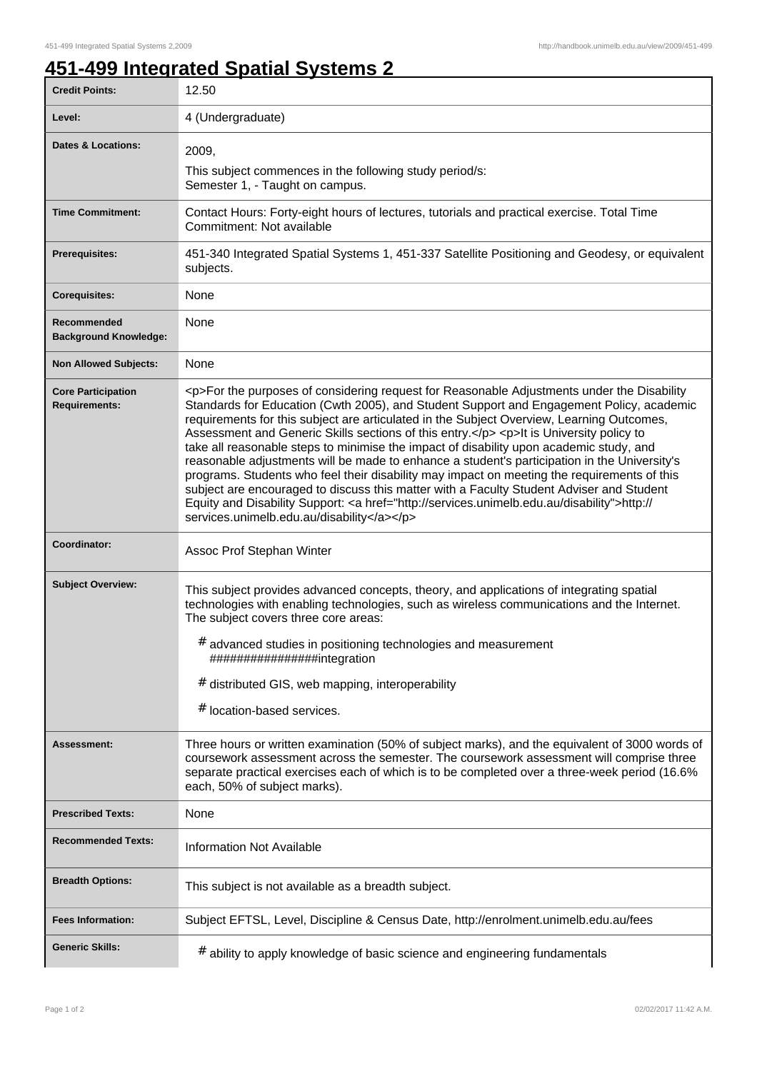## **451-499 Integrated Spatial Systems 2**

| <b>Credit Points:</b>                             | 12.50                                                                                                                                                                                                                                                                                                                                                                                                                                                                                                                                                                                                                                                                                                                                                                                                                                                                                                                        |
|---------------------------------------------------|------------------------------------------------------------------------------------------------------------------------------------------------------------------------------------------------------------------------------------------------------------------------------------------------------------------------------------------------------------------------------------------------------------------------------------------------------------------------------------------------------------------------------------------------------------------------------------------------------------------------------------------------------------------------------------------------------------------------------------------------------------------------------------------------------------------------------------------------------------------------------------------------------------------------------|
| Level:                                            | 4 (Undergraduate)                                                                                                                                                                                                                                                                                                                                                                                                                                                                                                                                                                                                                                                                                                                                                                                                                                                                                                            |
| <b>Dates &amp; Locations:</b>                     | 2009,                                                                                                                                                                                                                                                                                                                                                                                                                                                                                                                                                                                                                                                                                                                                                                                                                                                                                                                        |
|                                                   | This subject commences in the following study period/s:<br>Semester 1, - Taught on campus.                                                                                                                                                                                                                                                                                                                                                                                                                                                                                                                                                                                                                                                                                                                                                                                                                                   |
| <b>Time Commitment:</b>                           | Contact Hours: Forty-eight hours of lectures, tutorials and practical exercise. Total Time<br>Commitment: Not available                                                                                                                                                                                                                                                                                                                                                                                                                                                                                                                                                                                                                                                                                                                                                                                                      |
| <b>Prerequisites:</b>                             | 451-340 Integrated Spatial Systems 1, 451-337 Satellite Positioning and Geodesy, or equivalent<br>subjects.                                                                                                                                                                                                                                                                                                                                                                                                                                                                                                                                                                                                                                                                                                                                                                                                                  |
| <b>Corequisites:</b>                              | None                                                                                                                                                                                                                                                                                                                                                                                                                                                                                                                                                                                                                                                                                                                                                                                                                                                                                                                         |
| Recommended<br><b>Background Knowledge:</b>       | None                                                                                                                                                                                                                                                                                                                                                                                                                                                                                                                                                                                                                                                                                                                                                                                                                                                                                                                         |
| <b>Non Allowed Subjects:</b>                      | None                                                                                                                                                                                                                                                                                                                                                                                                                                                                                                                                                                                                                                                                                                                                                                                                                                                                                                                         |
| <b>Core Participation</b><br><b>Requirements:</b> | <p>For the purposes of considering request for Reasonable Adjustments under the Disability<br/>Standards for Education (Cwth 2005), and Student Support and Engagement Policy, academic<br/>requirements for this subject are articulated in the Subject Overview, Learning Outcomes,<br/>Assessment and Generic Skills sections of this entry.</p> <p>lt is University policy to<br/>take all reasonable steps to minimise the impact of disability upon academic study, and<br/>reasonable adjustments will be made to enhance a student's participation in the University's<br/>programs. Students who feel their disability may impact on meeting the requirements of this<br/>subject are encouraged to discuss this matter with a Faculty Student Adviser and Student<br/>Equity and Disability Support: &lt; a href="http://services.unimelb.edu.au/disability"&gt;http://<br/>services.unimelb.edu.au/disability</p> |
| Coordinator:                                      | Assoc Prof Stephan Winter                                                                                                                                                                                                                                                                                                                                                                                                                                                                                                                                                                                                                                                                                                                                                                                                                                                                                                    |
| <b>Subject Overview:</b>                          | This subject provides advanced concepts, theory, and applications of integrating spatial<br>technologies with enabling technologies, such as wireless communications and the Internet.<br>The subject covers three core areas:<br># advanced studies in positioning technologies and measurement<br>################integration<br># distributed GIS, web mapping, interoperability<br># location-based services.                                                                                                                                                                                                                                                                                                                                                                                                                                                                                                            |
| <b>Assessment:</b>                                | Three hours or written examination (50% of subject marks), and the equivalent of 3000 words of<br>coursework assessment across the semester. The coursework assessment will comprise three<br>separate practical exercises each of which is to be completed over a three-week period (16.6%<br>each, 50% of subject marks).                                                                                                                                                                                                                                                                                                                                                                                                                                                                                                                                                                                                  |
| <b>Prescribed Texts:</b>                          | <b>None</b>                                                                                                                                                                                                                                                                                                                                                                                                                                                                                                                                                                                                                                                                                                                                                                                                                                                                                                                  |
| <b>Recommended Texts:</b>                         | <b>Information Not Available</b>                                                                                                                                                                                                                                                                                                                                                                                                                                                                                                                                                                                                                                                                                                                                                                                                                                                                                             |
| <b>Breadth Options:</b>                           | This subject is not available as a breadth subject.                                                                                                                                                                                                                                                                                                                                                                                                                                                                                                                                                                                                                                                                                                                                                                                                                                                                          |
| <b>Fees Information:</b>                          | Subject EFTSL, Level, Discipline & Census Date, http://enrolment.unimelb.edu.au/fees                                                                                                                                                                                                                                                                                                                                                                                                                                                                                                                                                                                                                                                                                                                                                                                                                                         |
| <b>Generic Skills:</b>                            | # ability to apply knowledge of basic science and engineering fundamentals                                                                                                                                                                                                                                                                                                                                                                                                                                                                                                                                                                                                                                                                                                                                                                                                                                                   |